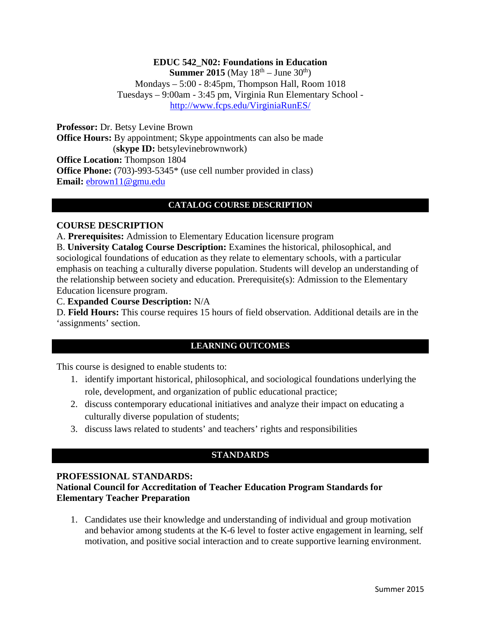## **EDUC 542\_N02: Foundations in Education Summer 2015** (May  $18^{th}$  – June  $30^{th}$ ) Mondays – 5:00 - 8:45pm, Thompson Hall, Room 1018 Tuesdays – 9:00am - 3:45 pm, Virginia Run Elementary School <http://www.fcps.edu/VirginiaRunES/>

**Professor:** Dr. Betsy Levine Brown **Office Hours:** By appointment; Skype appointments can also be made (**skype ID:** betsylevinebrownwork) **Office Location:** Thompson 1804 **Office Phone:** (703)-993-5345\* (use cell number provided in class) **Email:** [ebrown11@gmu.edu](mailto:ebrown11@gmu.edu)

# **CATALOG COURSE DESCRIPTION**

#### **COURSE DESCRIPTION**

A. **Prerequisites:** Admission to Elementary Education licensure program

B. **University Catalog Course Description:** Examines the historical, philosophical, and sociological foundations of education as they relate to elementary schools, with a particular emphasis on teaching a culturally diverse population. Students will develop an understanding of the relationship between society and education. Prerequisite(s): Admission to the Elementary Education licensure program.

#### C. **Expanded Course Description:** N/A

D. **Field Hours:** This course requires 15 hours of field observation. Additional details are in the 'assignments' section.

## **LEARNING OUTCOMES**

This course is designed to enable students to:

- 1. identify important historical, philosophical, and sociological foundations underlying the role, development, and organization of public educational practice;
- 2. discuss contemporary educational initiatives and analyze their impact on educating a culturally diverse population of students;
- 3. discuss laws related to students' and teachers' rights and responsibilities

# **STANDARDS**

#### **PROFESSIONAL STANDARDS:**

## **National Council for Accreditation of Teacher Education Program Standards for Elementary Teacher Preparation**

1. Candidates use their knowledge and understanding of individual and group motivation and behavior among students at the K-6 level to foster active engagement in learning, self motivation, and positive social interaction and to create supportive learning environment.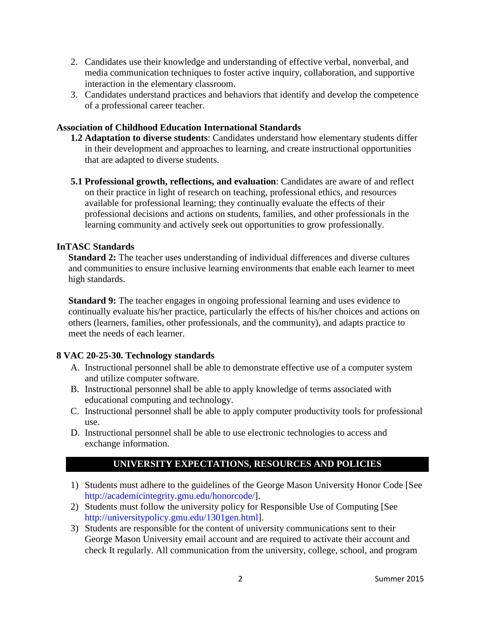- 2. Candidates use their knowledge and understanding of effective verbal, nonverbal, and media communication techniques to foster active inquiry, collaboration, and supportive interaction in the elementary classroom.
- 3. Candidates understand practices and behaviors that identify and develop the competence of a professional career teacher.

### **Association of Childhood Education International Standards**

- **1.2 Adaptation to diverse students**: Candidates understand how elementary students differ in their development and approaches to learning, and create instructional opportunities that are adapted to diverse students.
- **5.1 Professional growth, reflections, and evaluation**: Candidates are aware of and reflect on their practice in light of research on teaching, professional ethics, and resources available for professional learning; they continually evaluate the effects of their professional decisions and actions on students, families, and other professionals in the learning community and actively seek out opportunities to grow professionally.

## **InTASC Standards**

**Standard 2:** The teacher uses understanding of individual differences and diverse cultures and communities to ensure inclusive learning environments that enable each learner to meet high standards.

**Standard 9:** The teacher engages in ongoing professional learning and uses evidence to continually evaluate his/her practice, particularly the effects of his/her choices and actions on others (learners, families, other professionals, and the community), and adapts practice to meet the needs of each learner.

# **8 VAC 20-25-30. Technology standards**

- A. Instructional personnel shall be able to demonstrate effective use of a computer system and utilize computer software.
- B. Instructional personnel shall be able to apply knowledge of terms associated with educational computing and technology.
- C. Instructional personnel shall be able to apply computer productivity tools for professional use.
- D. Instructional personnel shall be able to use electronic technologies to access and exchange information.

# **UNIVERSITY EXPECTATIONS, RESOURCES AND POLICIES**

- 1) Students must adhere to the guidelines of the George Mason University Honor Code [See [http://academicintegrity.gmu.edu/honorcode/\]](http://academicintegrity.gmu.edu/honorcode/).
- 2) Students must follow the university policy for Responsible Use of Computing [See [http://universitypolicy.gmu.edu/1301gen.html\]](http://universitypolicy.gmu.edu/1301gen.html).
- 3) Students are responsible for the content of university communications sent to their George Mason University email account and are required to activate their account and check It regularly. All communication from the university, college, school, and program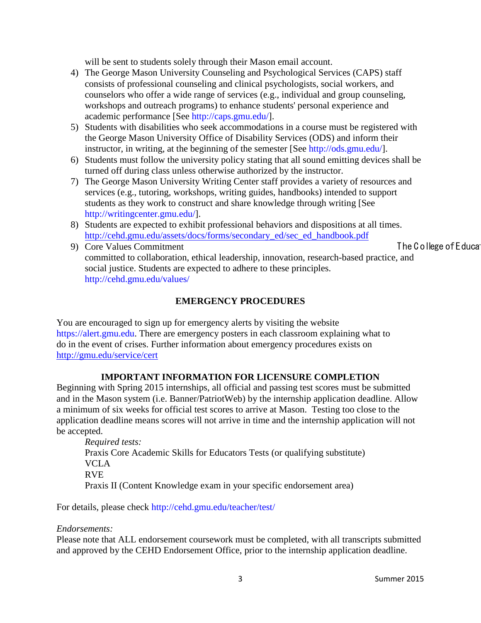will be sent to students solely through their Mason email account.

- 4) The George Mason University Counseling and Psychological Services (CAPS) staff consists of professional counseling and clinical psychologists, social workers, and counselors who offer a wide range of services (e.g., individual and group counseling, workshops and outreach programs) to enhance students' personal experience and academic performance [See [http://caps.gmu.edu/\]](http://caps.gmu.edu/).
- 5) Students with disabilities who seek accommodations in a course must be registered with the George Mason University Office of Disability Services (ODS) and inform their instructor, in writing, at the beginning of the semester [See [http://ods.gmu.edu/\]](http://ods.gmu.edu/).
- 6) Students must follow the university policy stating that all sound emitting devices shall be turned off during class unless otherwise authorized by the instructor.
- 7) The George Mason University Writing Center staff provides a variety of resources and services (e.g., tutoring, workshops, writing guides, handbooks) intended to support students as they work to construct and share knowledge through writing [See [http://writingcenter.gmu.edu/\]](http://writingcenter.gmu.edu/).
- 8) Students are expected to exhibit professional behaviors and dispositions at all times. [http://cehd.gmu.edu/assets/docs/forms/secondary\\_ed/sec\\_ed\\_handbook.pdf](http://cehd.gmu.edu/assets/docs/forms/secondary_ed/sec_ed_handbook.pdf)
- 9) Core Values Commitment The C ollege of E ducation of The C ollege of E ducation of The C ollege of E ducation of The C ollege of E ducation of The C ollege of E ducation of The C ollege of E ducation of The C ollege of committed to collaboration, ethical leadership, innovation, research-based practice, and social justice. Students are expected to adhere to these principles. <http://cehd.gmu.edu/values/>

## **EMERGENCY PROCEDURES**

You are encouraged to sign up for emergency alerts by visiting the website [https://alert.gmu.edu.](https://alert.gmu.edu/) There are emergency posters in each classroom explaining what to do in the event of crises. Further information about emergency procedures exists on <http://gmu.edu/service/cert>

#### **IMPORTANT INFORMATION FOR LICENSURE COMPLETION**

Beginning with Spring 2015 internships, all official and passing test scores must be submitted and in the Mason system (i.e. Banner/PatriotWeb) by the internship application deadline. Allow a minimum of six weeks for official test scores to arrive at Mason. Testing too close to the application deadline means scores will not arrive in time and the internship application will not be accepted.

*Required tests:* Praxis Core Academic Skills for Educators Tests (or qualifying substitute) VCLA RVE Praxis II (Content Knowledge exam in your specific endorsement area)

For details, please check<http://cehd.gmu.edu/teacher/test/>

#### *Endorsements:*

Please note that ALL endorsement coursework must be completed, with all transcripts submitted and approved by the CEHD Endorsement Office, prior to the internship application deadline.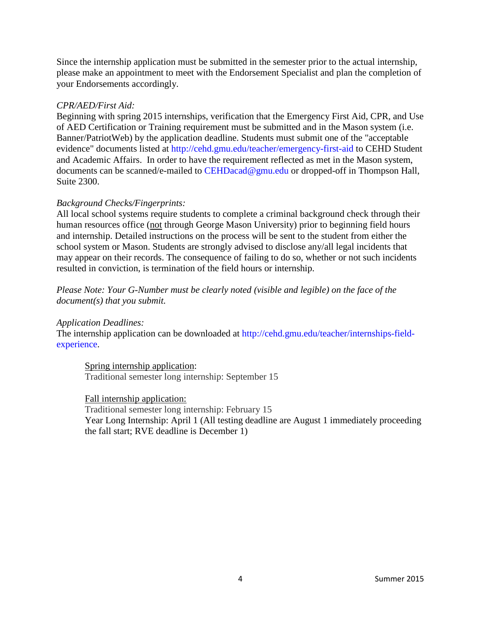Since the internship application must be submitted in the semester prior to the actual internship, please make an appointment to meet with the Endorsement Specialist and plan the completion of your Endorsements accordingly.

#### *CPR/AED/First Aid:*

Beginning with spring 2015 internships, verification that the Emergency First Aid, CPR, and Use of AED Certification or Training requirement must be submitted and in the Mason system (i.e. Banner/PatriotWeb) by the application deadline. Students must submit one of the "acceptable evidence" documents listed at<http://cehd.gmu.edu/teacher/emergency-first-aid> to CEHD Student and Academic Affairs. In order to have the requirement reflected as met in the Mason system, documents can be scanned/e-mailed to [CEHDacad@gmu.edu](mailto:cehdacad@gmu.edu) or dropped-off in Thompson Hall, Suite 2300.

#### *Background Checks/Fingerprints:*

All local school systems require students to complete a criminal background check through their human resources office (not through George Mason University) prior to beginning field hours and internship. Detailed instructions on the process will be sent to the student from either the school system or Mason. Students are strongly advised to disclose any/all legal incidents that may appear on their records. The consequence of failing to do so, whether or not such incidents resulted in conviction, is termination of the field hours or internship.

*Please Note: Your G-Number must be clearly noted (visible and legible) on the face of the document(s) that you submit.*

*Application Deadlines:*

The internship application can be downloaded at [http://cehd.gmu.edu/teacher/internships-field](http://cehd.gmu.edu/teacher/internships-field-experience)[experience.](http://cehd.gmu.edu/teacher/internships-field-experience)

Spring internship application: Traditional semester long internship: September 15

#### Fall internship application:

Traditional semester long internship: February 15 Year Long Internship: April 1 (All testing deadline are August 1 immediately proceeding the fall start; RVE deadline is December 1)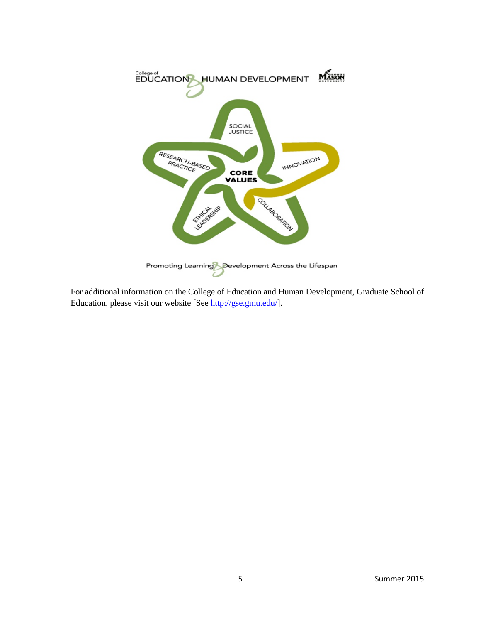

For additional information on the College of Education and Human Development, Graduate School of Education, please visit our website [See [http://gse.gmu.edu/\]](http://gse.gmu.edu/).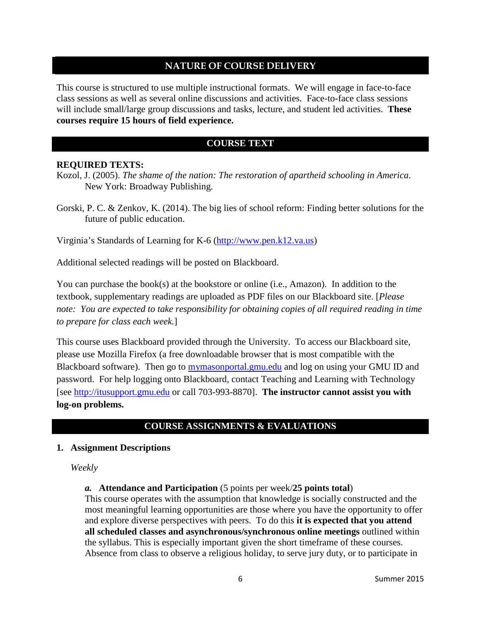# **NATURE OF COURSE DELIVERY**

This course is structured to use multiple instructional formats. We will engage in face-to-face class sessions as well as several online discussions and activities. Face-to-face class sessions will include small/large group discussions and tasks, lecture, and student led activities. **These courses require 15 hours of field experience.** 

# **COURSE TEXT**

#### **REQUIRED TEXTS:**

Kozol, J. (2005). *The shame of the nation: The restoration of apartheid schooling in America*. New York: Broadway Publishing.

Gorski, P. C. & Zenkov, K. (2014). The big lies of school reform: Finding better solutions for the future of public education.

Virginia's Standards of Learning for K-6 [\(http://www.pen.k12.va.us\)](http://www.pen.k12.va.us/)

Additional selected readings will be posted on Blackboard.

You can purchase the book(s) at the bookstore or online (i.e., Amazon). In addition to the textbook, supplementary readings are uploaded as PDF files on our Blackboard site. [*Please note: You are expected to take responsibility for obtaining copies of all required reading in time to prepare for class each week.*]

This course uses Blackboard provided through the University. To access our Blackboard site, please use Mozilla Firefox (a free downloadable browser that is most compatible with the Blackboard software). Then go to mymasonportal.gmu.edu and log on using your GMU ID and password. For help logging onto Blackboard, contact Teaching and Learning with Technology [see [http://itusupport.gmu.edu](http://itusupport.gmu.edu/) or call 703-993-8870]. **The instructor cannot assist you with log-on problems.**

# **COURSE ASSIGNMENTS & EVALUATIONS**

#### **1. Assignment Descriptions**

*Weekly*

*a.* **Attendance and Participation** (5 points per week/**25 points total**)

This course operates with the assumption that knowledge is socially constructed and the most meaningful learning opportunities are those where you have the opportunity to offer and explore diverse perspectives with peers. To do this **it is expected that you attend all scheduled classes and asynchronous/synchronous online meetings** outlined within the syllabus. This is especially important given the short timeframe of these courses. Absence from class to observe a religious holiday, to serve jury duty, or to participate in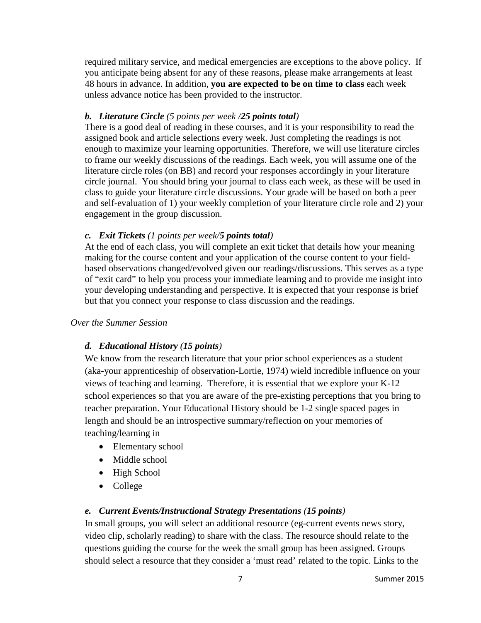required military service, and medical emergencies are exceptions to the above policy. If you anticipate being absent for any of these reasons, please make arrangements at least 48 hours in advance. In addition, **you are expected to be on time to class** each week unless advance notice has been provided to the instructor.

## *b. Literature Circle (5 points per week /25 points total)*

There is a good deal of reading in these courses, and it is your responsibility to read the assigned book and article selections every week. Just completing the readings is not enough to maximize your learning opportunities. Therefore, we will use literature circles to frame our weekly discussions of the readings. Each week, you will assume one of the literature circle roles (on BB) and record your responses accordingly in your literature circle journal. You should bring your journal to class each week, as these will be used in class to guide your literature circle discussions. Your grade will be based on both a peer and self-evaluation of 1) your weekly completion of your literature circle role and 2) your engagement in the group discussion.

## *c. Exit Tickets (1 points per week/5 points total)*

At the end of each class, you will complete an exit ticket that details how your meaning making for the course content and your application of the course content to your fieldbased observations changed/evolved given our readings/discussions. This serves as a type of "exit card" to help you process your immediate learning and to provide me insight into your developing understanding and perspective. It is expected that your response is brief but that you connect your response to class discussion and the readings.

#### *Over the Summer Session*

# *d. Educational History (15 points)*

We know from the research literature that your prior school experiences as a student (aka-your apprenticeship of observation-Lortie, 1974) wield incredible influence on your views of teaching and learning. Therefore, it is essential that we explore your K-12 school experiences so that you are aware of the pre-existing perceptions that you bring to teacher preparation. Your Educational History should be 1-2 single spaced pages in length and should be an introspective summary/reflection on your memories of teaching/learning in

- Elementary school
- Middle school
- High School
- College

# *e. Current Events/Instructional Strategy Presentations (15 points)*

In small groups, you will select an additional resource (eg-current events news story, video clip, scholarly reading) to share with the class. The resource should relate to the questions guiding the course for the week the small group has been assigned. Groups should select a resource that they consider a 'must read' related to the topic. Links to the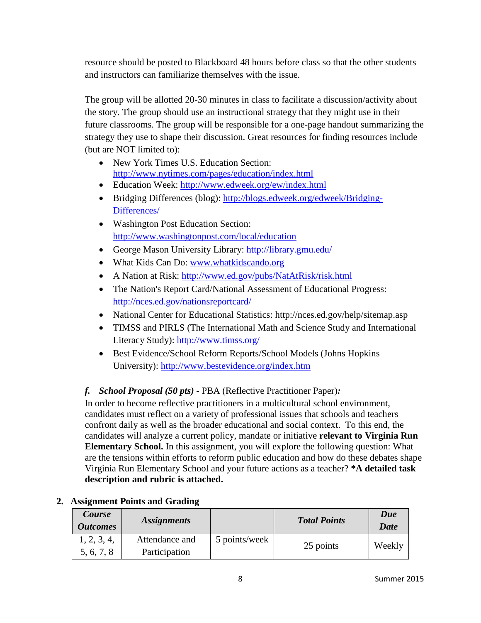resource should be posted to Blackboard 48 hours before class so that the other students and instructors can familiarize themselves with the issue.

The group will be allotted 20-30 minutes in class to facilitate a discussion/activity about the story. The group should use an instructional strategy that they might use in their future classrooms. The group will be responsible for a one-page handout summarizing the strategy they use to shape their discussion. Great resources for finding resources include (but are NOT limited to):

- New York Times U.S. Education Section: <http://www.nytimes.com/pages/education/index.html>
- Education Week:<http://www.edweek.org/ew/index.html>
- Bridging Differences (blog): [http://blogs.edweek.org/edweek/Bridging-](http://blogs.edweek.org/edweek/Bridging-Differences/)[Differences/](http://blogs.edweek.org/edweek/Bridging-Differences/)
- Washington Post Education Section: <http://www.washingtonpost.com/local/education>
- George Mason University Library:<http://library.gmu.edu/>
- What Kids Can Do: [www.whatkidscando.org](http://www.whatkidscando.org/)
- A Nation at Risk:<http://www.ed.gov/pubs/NatAtRisk/risk.html>
- The Nation's Report Card/National Assessment of Educational Progress: http://nces.ed.gov/nationsreportcard/
- National Center for Educational Statistics: http://nces.ed.gov/help/sitemap.asp
- TIMSS and PIRLS (The International Math and Science Study and International Literacy Study): http://www.timss.org/
- Best Evidence/School Reform Reports/School Models (Johns Hopkins University):<http://www.bestevidence.org/index.htm>

# *f. School Proposal (50 pts)* **-** PBA (Reflective Practitioner Paper)*:*

In order to become reflective practitioners in a multicultural school environment, candidates must reflect on a variety of professional issues that schools and teachers confront daily as well as the broader educational and social context. To this end, the candidates will analyze a current policy, mandate or initiative **relevant to Virginia Run Elementary School.** In this assignment, you will explore the following question: What are the tensions within efforts to reform public education and how do these debates shape Virginia Run Elementary School and your future actions as a teacher? **\*A detailed task description and rubric is attached.** 

| Course<br><i><b>Outcomes</b></i> | <i><b>Assignments</b></i> |               | <b>Total Points</b> | Due<br><b>Date</b> |
|----------------------------------|---------------------------|---------------|---------------------|--------------------|
| 1, 2, 3, 4,                      | Attendance and            | 5 points/week | 25 points           | Weekly             |
| 5, 6, 7, 8                       | Participation             |               |                     |                    |

# **2. Assignment Points and Grading**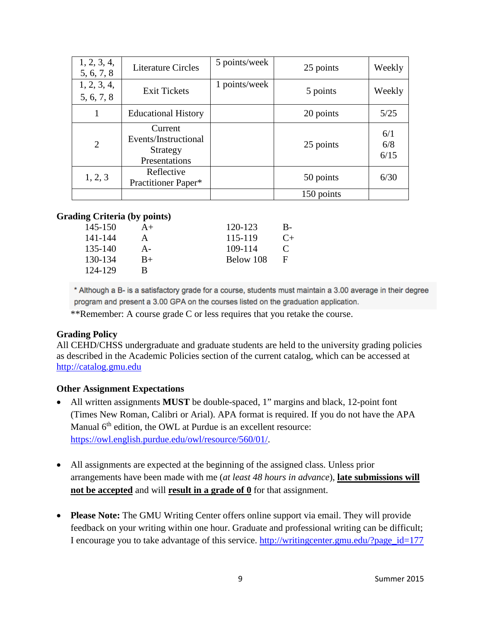| 1, 2, 3, 4,<br>5, 6, 7, 8 | <b>Literature Circles</b>                                    | 5 points/week | 25 points  | Weekly             |
|---------------------------|--------------------------------------------------------------|---------------|------------|--------------------|
| 1, 2, 3, 4,<br>5, 6, 7, 8 | <b>Exit Tickets</b>                                          | 1 points/week | 5 points   | Weekly             |
| 1                         | <b>Educational History</b>                                   |               | 20 points  | 5/25               |
| $\overline{2}$            | Current<br>Events/Instructional<br>Strategy<br>Presentations |               | 25 points  | 6/1<br>6/8<br>6/15 |
| 1, 2, 3                   | Reflective<br>Practitioner Paper*                            |               | 50 points  | 6/30               |
|                           |                                                              |               | 150 points |                    |

## **Grading Criteria (by points)**

| 145-150 | $A+$ | 120-123   | B-           |
|---------|------|-----------|--------------|
| 141-144 | А    | 115-119   | $C_{\pm}$    |
| 135-140 | А-   | 109-114   | $\mathbf{C}$ |
| 130-134 | $B+$ | Below 108 | F            |
| 124-129 | в    |           |              |

\* Although a B- is a satisfactory grade for a course, students must maintain a 3.00 average in their degree program and present a 3.00 GPA on the courses listed on the graduation application.

\*\*Remember: A course grade C or less requires that you retake the course.

# **Grading Policy**

All CEHD/CHSS undergraduate and graduate students are held to the university grading policies as described in the Academic Policies section of the current catalog, which can be accessed at [http://catalog.gmu.edu](http://catalog.gmu.edu/)

#### **Other Assignment Expectations**

- All written assignments **MUST** be double-spaced, 1" margins and black, 12-point font (Times New Roman, Calibri or Arial). APA format is required. If you do not have the APA Manual 6<sup>th</sup> edition, the OWL at Purdue is an excellent resource: [https://owl.english.purdue.edu/owl/resource/560/01/.](https://owl.english.purdue.edu/owl/resource/560/01/)
- All assignments are expected at the beginning of the assigned class. Unless prior arrangements have been made with me (*at least 48 hours in advance*), **late submissions will not be accepted** and will **result in a grade of 0** for that assignment.
- **Please Note:** The GMU Writing Center offers online support via email. They will provide feedback on your writing within one hour. Graduate and professional writing can be difficult; I encourage you to take advantage of this service. [http://writingcenter.gmu.edu/?page\\_id=177](http://writingcenter.gmu.edu/?page_id=177)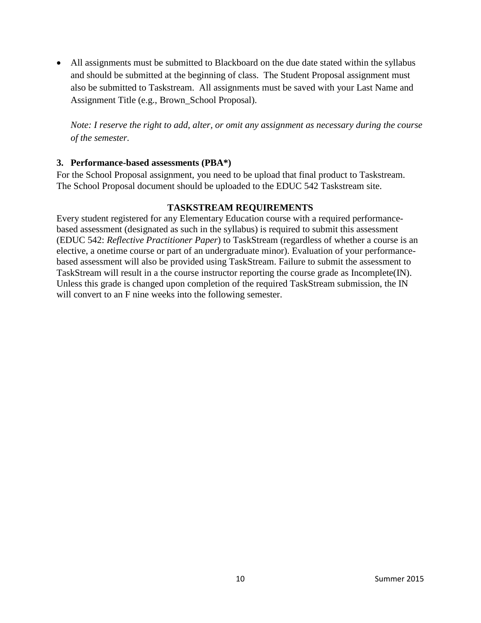• All assignments must be submitted to Blackboard on the due date stated within the syllabus and should be submitted at the beginning of class. The Student Proposal assignment must also be submitted to Taskstream. All assignments must be saved with your Last Name and Assignment Title (e.g., Brown\_School Proposal).

*Note: I reserve the right to add, alter, or omit any assignment as necessary during the course of the semester.*

## **3. Performance-based assessments (PBA\*)**

For the School Proposal assignment, you need to be upload that final product to Taskstream. The School Proposal document should be uploaded to the EDUC 542 Taskstream site.

## **TASKSTREAM REQUIREMENTS**

Every student registered for any Elementary Education course with a required performancebased assessment (designated as such in the syllabus) is required to submit this assessment (EDUC 542: *Reflective Practitioner Paper*) to TaskStream (regardless of whether a course is an elective, a onetime course or part of an undergraduate minor). Evaluation of your performancebased assessment will also be provided using TaskStream. Failure to submit the assessment to TaskStream will result in a the course instructor reporting the course grade as Incomplete(IN). Unless this grade is changed upon completion of the required TaskStream submission, the IN will convert to an F nine weeks into the following semester.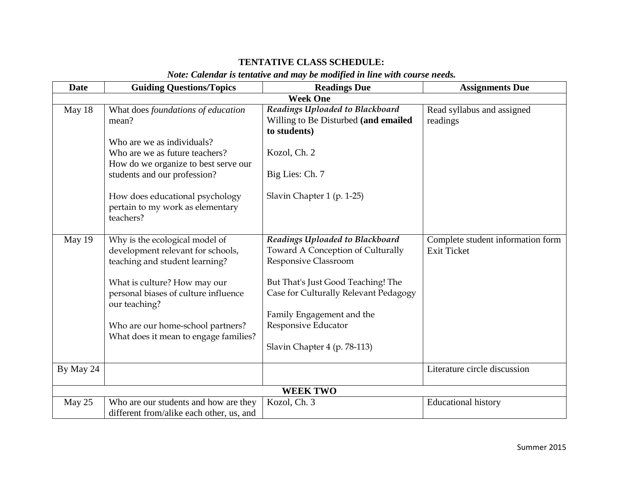# **TENTATIVE CLASS SCHEDULE:**

# *Note: Calendar is tentative and may be modified in line with course needs.*

| <b>Date</b> | <b>Guiding Questions/Topics</b>                                                                             | <b>Readings Due</b>                                                                                      | <b>Assignments Due</b>                                  |
|-------------|-------------------------------------------------------------------------------------------------------------|----------------------------------------------------------------------------------------------------------|---------------------------------------------------------|
|             |                                                                                                             | <b>Week One</b>                                                                                          |                                                         |
| May 18      | What does foundations of education<br>mean?<br>Who are we as individuals?<br>Who are we as future teachers? | Readings Uploaded to Blackboard<br>Willing to Be Disturbed (and emailed<br>to students)<br>Kozol, Ch. 2  | Read syllabus and assigned<br>readings                  |
|             | How do we organize to best serve our<br>students and our profession?                                        | Big Lies: Ch. 7                                                                                          |                                                         |
|             | How does educational psychology<br>pertain to my work as elementary<br>teachers?                            | Slavin Chapter 1 (p. 1-25)                                                                               |                                                         |
| May 19      | Why is the ecological model of<br>development relevant for schools,<br>teaching and student learning?       | Readings Uploaded to Blackboard<br>Toward A Conception of Culturally<br>Responsive Classroom             | Complete student information form<br><b>Exit Ticket</b> |
|             | What is culture? How may our<br>personal biases of culture influence<br>our teaching?                       | But That's Just Good Teaching! The<br>Case for Culturally Relevant Pedagogy<br>Family Engagement and the |                                                         |
|             | Who are our home-school partners?<br>What does it mean to engage families?                                  | Responsive Educator<br>Slavin Chapter 4 (p. 78-113)                                                      |                                                         |
| By May 24   |                                                                                                             |                                                                                                          | Literature circle discussion                            |
|             |                                                                                                             | <b>WEEK TWO</b>                                                                                          |                                                         |
| May 25      | Who are our students and how are they<br>different from/alike each other, us, and                           | Kozol, Ch. 3                                                                                             | <b>Educational history</b>                              |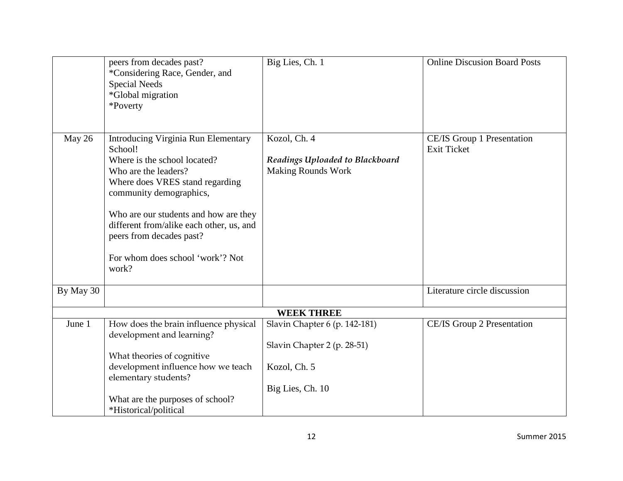|           | peers from decades past?<br>*Considering Race, Gender, and<br><b>Special Needs</b><br>*Global migration<br>*Poverty                                                                                                                                                                                                                       | Big Lies, Ch. 1                                                              | <b>Online Discusion Board Posts</b>              |
|-----------|-------------------------------------------------------------------------------------------------------------------------------------------------------------------------------------------------------------------------------------------------------------------------------------------------------------------------------------------|------------------------------------------------------------------------------|--------------------------------------------------|
| May 26    | <b>Introducing Virginia Run Elementary</b><br>School!<br>Where is the school located?<br>Who are the leaders?<br>Where does VRES stand regarding<br>community demographics,<br>Who are our students and how are they<br>different from/alike each other, us, and<br>peers from decades past?<br>For whom does school 'work'? Not<br>work? | Kozol, Ch. 4<br>Readings Uploaded to Blackboard<br><b>Making Rounds Work</b> | CE/IS Group 1 Presentation<br><b>Exit Ticket</b> |
| By May 30 |                                                                                                                                                                                                                                                                                                                                           |                                                                              | Literature circle discussion                     |
|           |                                                                                                                                                                                                                                                                                                                                           | <b>WEEK THREE</b>                                                            |                                                  |
| June 1    | How does the brain influence physical<br>development and learning?                                                                                                                                                                                                                                                                        | Slavin Chapter 6 (p. 142-181)                                                | CE/IS Group 2 Presentation                       |
|           | What theories of cognitive                                                                                                                                                                                                                                                                                                                | Slavin Chapter 2 (p. 28-51)                                                  |                                                  |
|           | development influence how we teach<br>elementary students?                                                                                                                                                                                                                                                                                | Kozol, Ch. 5                                                                 |                                                  |
|           |                                                                                                                                                                                                                                                                                                                                           | Big Lies, Ch. 10                                                             |                                                  |
|           | What are the purposes of school?<br>*Historical/political                                                                                                                                                                                                                                                                                 |                                                                              |                                                  |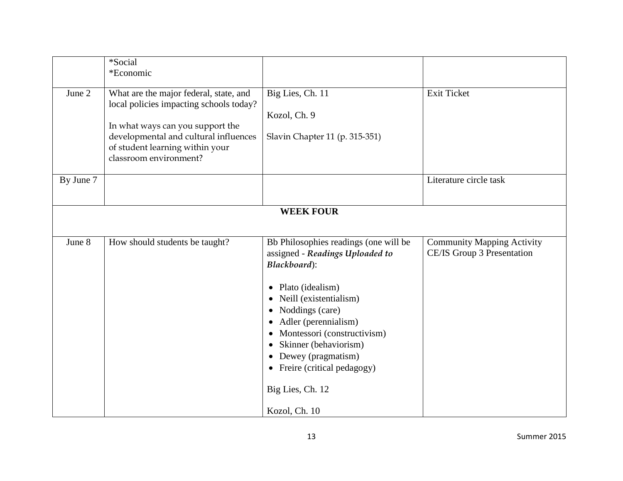|           | *Social                                                                           |                                       |                                   |
|-----------|-----------------------------------------------------------------------------------|---------------------------------------|-----------------------------------|
|           | *Economic                                                                         |                                       |                                   |
|           |                                                                                   |                                       |                                   |
| June 2    | What are the major federal, state, and<br>local policies impacting schools today? | Big Lies, Ch. 11                      | <b>Exit Ticket</b>                |
|           |                                                                                   | Kozol, Ch. 9                          |                                   |
|           | In what ways can you support the                                                  |                                       |                                   |
|           | developmental and cultural influences<br>of student learning within your          | Slavin Chapter 11 (p. 315-351)        |                                   |
|           | classroom environment?                                                            |                                       |                                   |
| By June 7 |                                                                                   |                                       | Literature circle task            |
|           |                                                                                   |                                       |                                   |
|           |                                                                                   | <b>WEEK FOUR</b>                      |                                   |
|           |                                                                                   |                                       |                                   |
|           |                                                                                   |                                       |                                   |
| June 8    | How should students be taught?                                                    | Bb Philosophies readings (one will be | <b>Community Mapping Activity</b> |
|           |                                                                                   | assigned - Readings Uploaded to       | CE/IS Group 3 Presentation        |
|           |                                                                                   | Blackboard):                          |                                   |
|           |                                                                                   |                                       |                                   |
|           |                                                                                   | Plato (idealism)<br>$\bullet$         |                                   |
|           |                                                                                   | Neill (existentialism)<br>$\bullet$   |                                   |
|           |                                                                                   | Noddings (care)<br>$\bullet$          |                                   |
|           |                                                                                   | Adler (perennialism)                  |                                   |
|           |                                                                                   | Montessori (constructivism)           |                                   |
|           |                                                                                   | Skinner (behaviorism)<br>$\bullet$    |                                   |
|           |                                                                                   | • Dewey (pragmatism)                  |                                   |
|           |                                                                                   | • Freire (critical pedagogy)          |                                   |
|           |                                                                                   | Big Lies, Ch. 12                      |                                   |
|           |                                                                                   | Kozol, Ch. 10                         |                                   |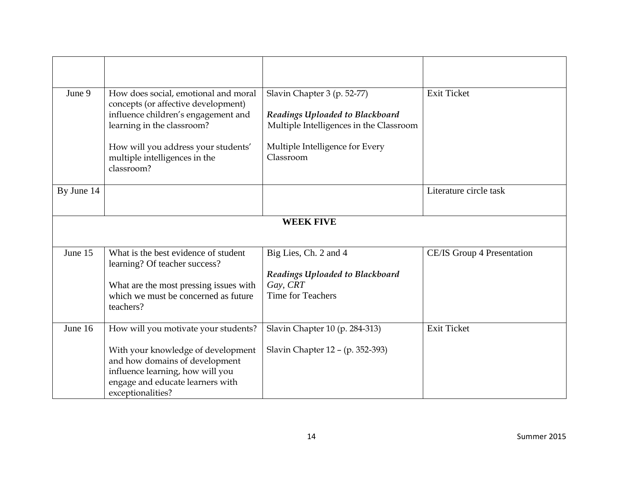| June 9     | How does social, emotional and moral<br>concepts (or affective development)                                                                                       | Slavin Chapter 3 (p. 52-77)                                                | <b>Exit Ticket</b>         |
|------------|-------------------------------------------------------------------------------------------------------------------------------------------------------------------|----------------------------------------------------------------------------|----------------------------|
|            | influence children's engagement and<br>learning in the classroom?                                                                                                 | Readings Uploaded to Blackboard<br>Multiple Intelligences in the Classroom |                            |
|            | How will you address your students'<br>multiple intelligences in the<br>classroom?                                                                                | Multiple Intelligence for Every<br>Classroom                               |                            |
| By June 14 |                                                                                                                                                                   |                                                                            | Literature circle task     |
|            |                                                                                                                                                                   | <b>WEEK FIVE</b>                                                           |                            |
|            |                                                                                                                                                                   |                                                                            |                            |
| June 15    | What is the best evidence of student<br>learning? Of teacher success?                                                                                             | Big Lies, Ch. 2 and 4                                                      | CE/IS Group 4 Presentation |
|            |                                                                                                                                                                   | Readings Uploaded to Blackboard                                            |                            |
|            | What are the most pressing issues with<br>which we must be concerned as future                                                                                    | Gay, CRT<br><b>Time for Teachers</b>                                       |                            |
|            | teachers?                                                                                                                                                         |                                                                            |                            |
| June 16    | How will you motivate your students?                                                                                                                              | Slavin Chapter 10 (p. 284-313)                                             | <b>Exit Ticket</b>         |
|            | With your knowledge of development<br>and how domains of development<br>influence learning, how will you<br>engage and educate learners with<br>exceptionalities? | Slavin Chapter 12 - (p. 352-393)                                           |                            |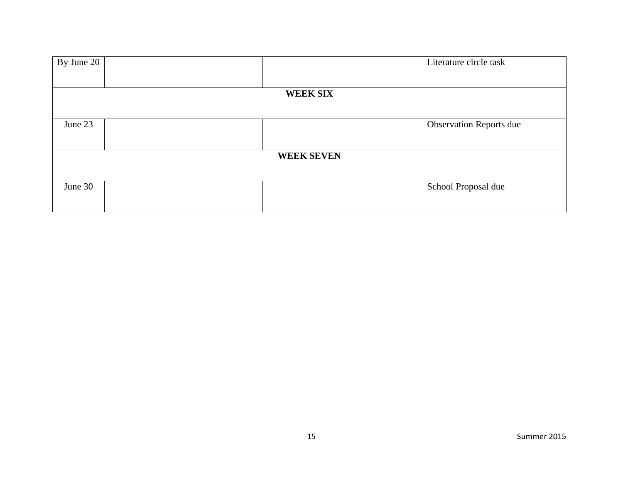| By June 20 |                   | Literature circle task         |
|------------|-------------------|--------------------------------|
|            |                   |                                |
|            | <b>WEEK SIX</b>   |                                |
|            |                   |                                |
| June 23    |                   | <b>Observation Reports due</b> |
|            |                   |                                |
|            | <b>WEEK SEVEN</b> |                                |
|            |                   |                                |
| June 30    |                   | School Proposal due            |
|            |                   |                                |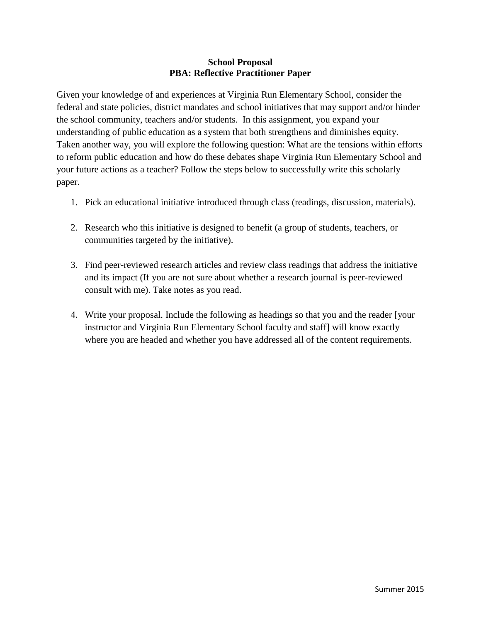## **School Proposal PBA: Reflective Practitioner Paper**

Given your knowledge of and experiences at Virginia Run Elementary School, consider the federal and state policies, district mandates and school initiatives that may support and/or hinder the school community, teachers and/or students. In this assignment, you expand your understanding of public education as a system that both strengthens and diminishes equity. Taken another way, you will explore the following question: What are the tensions within efforts to reform public education and how do these debates shape Virginia Run Elementary School and your future actions as a teacher? Follow the steps below to successfully write this scholarly paper.

- 1. Pick an educational initiative introduced through class (readings, discussion, materials).
- 2. Research who this initiative is designed to benefit (a group of students, teachers, or communities targeted by the initiative).
- 3. Find peer-reviewed research articles and review class readings that address the initiative and its impact (If you are not sure about whether a research journal is peer-reviewed consult with me). Take notes as you read.
- 4. Write your proposal. Include the following as headings so that you and the reader [your instructor and Virginia Run Elementary School faculty and staff] will know exactly where you are headed and whether you have addressed all of the content requirements.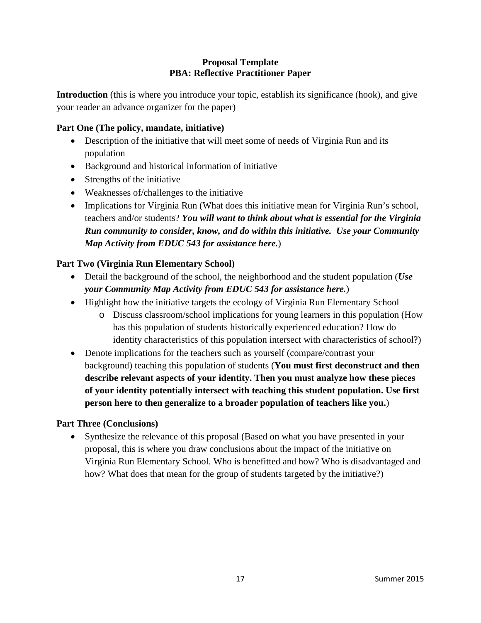# **Proposal Template PBA: Reflective Practitioner Paper**

**Introduction** (this is where you introduce your topic, establish its significance (hook), and give your reader an advance organizer for the paper)

# **Part One (The policy, mandate, initiative)**

- Description of the initiative that will meet some of needs of Virginia Run and its population
- Background and historical information of initiative
- Strengths of the initiative
- Weaknesses of/challenges to the initiative
- Implications for Virginia Run (What does this initiative mean for Virginia Run's school, teachers and/or students? *You will want to think about what is essential for the Virginia Run community to consider, know, and do within this initiative. Use your Community Map Activity from EDUC 543 for assistance here.*)

# **Part Two (Virginia Run Elementary School)**

- Detail the background of the school, the neighborhood and the student population (*Use your Community Map Activity from EDUC 543 for assistance here.*)
- Highlight how the initiative targets the ecology of Virginia Run Elementary School
	- o Discuss classroom/school implications for young learners in this population (How has this population of students historically experienced education? How do identity characteristics of this population intersect with characteristics of school?)
- Denote implications for the teachers such as yourself (compare/contrast your background) teaching this population of students (**You must first deconstruct and then describe relevant aspects of your identity. Then you must analyze how these pieces of your identity potentially intersect with teaching this student population. Use first person here to then generalize to a broader population of teachers like you.**)

# **Part Three (Conclusions)**

• Synthesize the relevance of this proposal (Based on what you have presented in your proposal, this is where you draw conclusions about the impact of the initiative on Virginia Run Elementary School. Who is benefitted and how? Who is disadvantaged and how? What does that mean for the group of students targeted by the initiative?)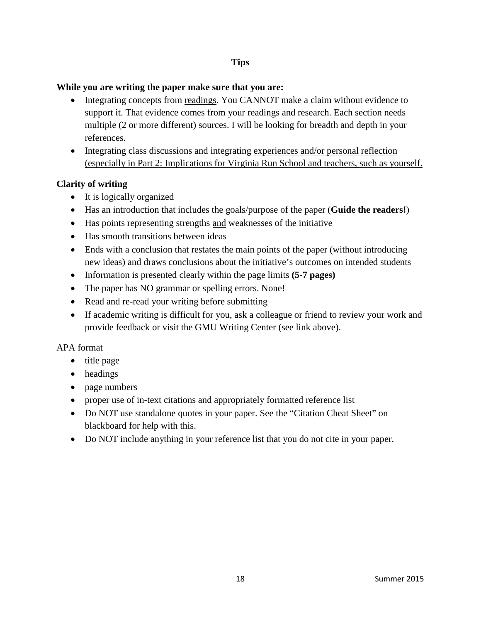# **Tips**

### **While you are writing the paper make sure that you are:**

- Integrating concepts from readings. You CANNOT make a claim without evidence to support it. That evidence comes from your readings and research. Each section needs multiple (2 or more different) sources. I will be looking for breadth and depth in your references.
- Integrating class discussions and integrating experiences and/or personal reflection (especially in Part 2: Implications for Virginia Run School and teachers, such as yourself.

# **Clarity of writing**

- It is logically organized
- Has an introduction that includes the goals/purpose of the paper (**Guide the readers!**)
- Has points representing strengths and weaknesses of the initiative
- Has smooth transitions between ideas
- Ends with a conclusion that restates the main points of the paper (without introducing new ideas) and draws conclusions about the initiative's outcomes on intended students
- Information is presented clearly within the page limits **(5-7 pages)**
- The paper has NO grammar or spelling errors. None!
- Read and re-read your writing before submitting
- If academic writing is difficult for you, ask a colleague or friend to review your work and provide feedback or visit the GMU Writing Center (see link above).

# APA format

- title page
- headings
- page numbers
- proper use of in-text citations and appropriately formatted reference list
- Do NOT use standalone quotes in your paper. See the "Citation Cheat Sheet" on blackboard for help with this.
- Do NOT include anything in your reference list that you do not cite in your paper.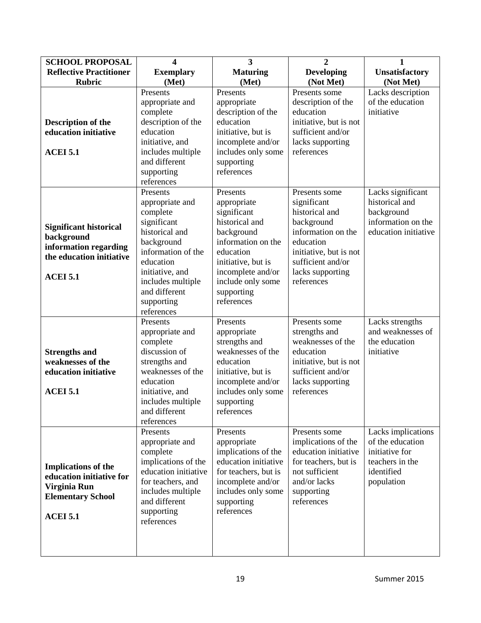| <b>SCHOOL PROPOSAL</b>                                                                                                | $\boldsymbol{4}$                                                                                                                                                                                   | $\overline{\mathbf{3}}$                                                                                                                                                                   | $\overline{2}$                                                                                                                                                  | $\mathbf{1}$                                                                                            |
|-----------------------------------------------------------------------------------------------------------------------|----------------------------------------------------------------------------------------------------------------------------------------------------------------------------------------------------|-------------------------------------------------------------------------------------------------------------------------------------------------------------------------------------------|-----------------------------------------------------------------------------------------------------------------------------------------------------------------|---------------------------------------------------------------------------------------------------------|
| <b>Reflective Practitioner</b>                                                                                        | <b>Exemplary</b>                                                                                                                                                                                   | <b>Maturing</b>                                                                                                                                                                           | <b>Developing</b>                                                                                                                                               | <b>Unsatisfactory</b>                                                                                   |
| <b>Rubric</b>                                                                                                         | (Met)                                                                                                                                                                                              | (Met)                                                                                                                                                                                     | (Not Met)                                                                                                                                                       | (Not Met)                                                                                               |
| <b>Description of the</b><br>education initiative<br><b>ACEI 5.1</b>                                                  | Presents<br>appropriate and<br>complete<br>description of the<br>education<br>initiative, and<br>includes multiple<br>and different<br>supporting<br>references<br>Presents                        | Presents<br>appropriate<br>description of the<br>education<br>initiative, but is<br>incomplete and/or<br>includes only some<br>supporting<br>references<br>Presents                       | Presents some<br>description of the<br>education<br>initiative, but is not<br>sufficient and/or<br>lacks supporting<br>references<br>Presents some              | Lacks description<br>of the education<br>initiative<br>Lacks significant                                |
| <b>Significant historical</b><br>background<br>information regarding<br>the education initiative<br><b>ACEI 5.1</b>   | appropriate and<br>complete<br>significant<br>historical and<br>background<br>information of the<br>education<br>initiative, and<br>includes multiple<br>and different<br>supporting<br>references | appropriate<br>significant<br>historical and<br>background<br>information on the<br>education<br>initiative, but is<br>incomplete and/or<br>include only some<br>supporting<br>references | significant<br>historical and<br>background<br>information on the<br>education<br>initiative, but is not<br>sufficient and/or<br>lacks supporting<br>references | historical and<br>background<br>information on the<br>education initiative                              |
| <b>Strengths and</b><br>weaknesses of the<br>education initiative<br><b>ACEI 5.1</b>                                  | Presents<br>appropriate and<br>complete<br>discussion of<br>strengths and<br>weaknesses of the<br>education<br>initiative, and<br>includes multiple<br>and different<br>references                 | Presents<br>appropriate<br>strengths and<br>weaknesses of the<br>education<br>initiative, but is<br>incomplete and/or<br>includes only some<br>supporting<br>references                   | Presents some<br>strengths and<br>weaknesses of the<br>education<br>initiative, but is not<br>sufficient and/or<br>lacks supporting<br>references               | Lacks strengths<br>and weaknesses of<br>the education<br>initiative                                     |
| <b>Implications of the</b><br>education initiative for<br>Virginia Run<br><b>Elementary School</b><br><b>ACEI 5.1</b> | Presents<br>appropriate and<br>complete<br>implications of the<br>education initiative<br>for teachers, and<br>includes multiple<br>and different<br>supporting<br>references                      | Presents<br>appropriate<br>implications of the<br>education initiative<br>for teachers, but is<br>incomplete and/or<br>includes only some<br>supporting<br>references                     | Presents some<br>implications of the<br>education initiative<br>for teachers, but is<br>not sufficient<br>and/or lacks<br>supporting<br>references              | Lacks implications<br>of the education<br>initiative for<br>teachers in the<br>identified<br>population |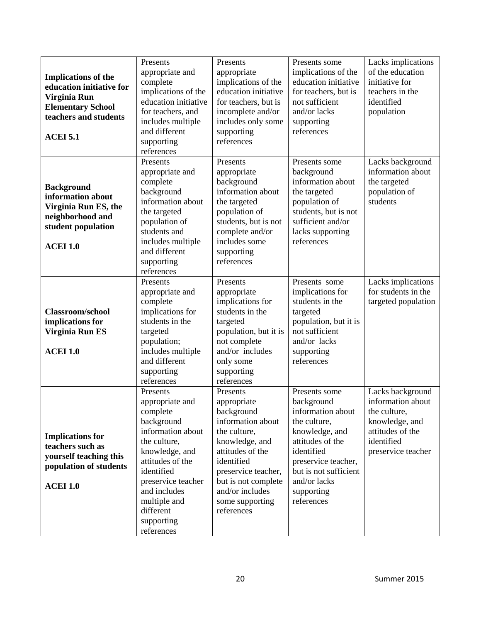| <b>Implications of the</b><br>education initiative for<br>Virginia Run<br><b>Elementary School</b><br>teachers and students<br><b>ACEI 5.1</b> | Presents<br>appropriate and<br>complete<br>implications of the<br>education initiative<br>for teachers, and<br>includes multiple<br>and different<br>supporting<br>references                                                                 | Presents<br>appropriate<br>implications of the<br>education initiative<br>for teachers, but is<br>incomplete and/or<br>includes only some<br>supporting<br>references                                                            | Presents some<br>implications of the<br>education initiative<br>for teachers, but is<br>not sufficient<br>and/or lacks<br>supporting<br>references                                                               | Lacks implications<br>of the education<br>initiative for<br>teachers in the<br>identified<br>population                         |
|------------------------------------------------------------------------------------------------------------------------------------------------|-----------------------------------------------------------------------------------------------------------------------------------------------------------------------------------------------------------------------------------------------|----------------------------------------------------------------------------------------------------------------------------------------------------------------------------------------------------------------------------------|------------------------------------------------------------------------------------------------------------------------------------------------------------------------------------------------------------------|---------------------------------------------------------------------------------------------------------------------------------|
| <b>Background</b><br>information about<br>Virginia Run ES, the<br>neighborhood and<br>student population<br><b>ACEI 1.0</b>                    | Presents<br>appropriate and<br>complete<br>background<br>information about<br>the targeted<br>population of<br>students and<br>includes multiple<br>and different<br>supporting<br>references                                                 | Presents<br>appropriate<br>background<br>information about<br>the targeted<br>population of<br>students, but is not<br>complete and/or<br>includes some<br>supporting<br>references                                              | Presents some<br>background<br>information about<br>the targeted<br>population of<br>students, but is not<br>sufficient and/or<br>lacks supporting<br>references                                                 | Lacks background<br>information about<br>the targeted<br>population of<br>students                                              |
| Classroom/school<br>implications for<br>Virginia Run ES<br><b>ACEI 1.0</b>                                                                     | Presents<br>appropriate and<br>complete<br>implications for<br>students in the<br>targeted<br>population;<br>includes multiple<br>and different<br>supporting<br>references                                                                   | Presents<br>appropriate<br>implications for<br>students in the<br>targeted<br>population, but it is<br>not complete<br>and/or includes<br>only some<br>supporting<br>references                                                  | Presents some<br>implications for<br>students in the<br>targeted<br>population, but it is<br>not sufficient<br>and/or lacks<br>supporting<br>references                                                          | Lacks implications<br>for students in the<br>targeted population                                                                |
| <b>Implications for</b><br>teachers such as<br>yourself teaching this<br>population of students<br><b>ACEI 1.0</b>                             | Presents<br>appropriate and<br>complete<br>background<br>information about<br>the culture,<br>knowledge, and<br>attitudes of the<br>identified<br>preservice teacher<br>and includes<br>multiple and<br>different<br>supporting<br>references | Presents<br>appropriate<br>background<br>information about<br>the culture,<br>knowledge, and<br>attitudes of the<br>identified<br>preservice teacher,<br>but is not complete<br>and/or includes<br>some supporting<br>references | Presents some<br>background<br>information about<br>the culture,<br>knowledge, and<br>attitudes of the<br>identified<br>preservice teacher,<br>but is not sufficient<br>and/or lacks<br>supporting<br>references | Lacks background<br>information about<br>the culture,<br>knowledge, and<br>attitudes of the<br>identified<br>preservice teacher |